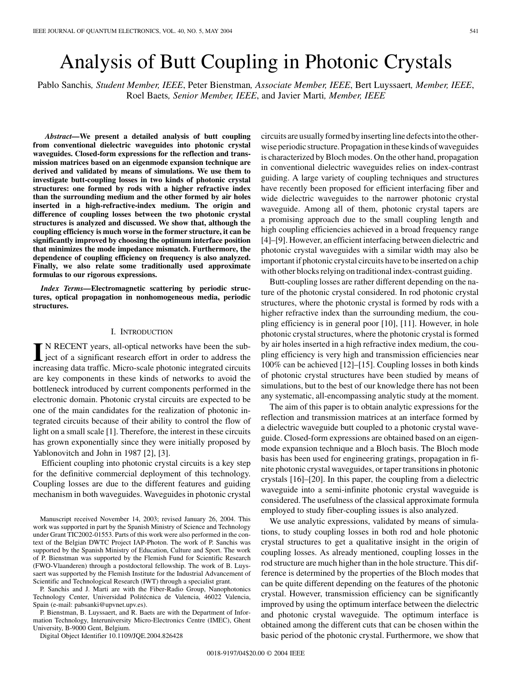# Analysis of Butt Coupling in Photonic Crystals

Pablo Sanchis*, Student Member, IEEE*, Peter Bienstman*, Associate Member, IEEE*, Bert Luyssaert*, Member, IEEE*, Roel Baets*, Senior Member, IEEE*, and Javier Marti*, Member, IEEE*

*Abstract—***We present a detailed analysis of butt coupling from conventional dielectric waveguides into photonic crystal waveguides. Closed-form expressions for the reflection and transmission matrices based on an eigenmode expansion technique are derived and validated by means of simulations. We use them to investigate butt-coupling losses in two kinds of photonic crystal structures: one formed by rods with a higher refractive index than the surrounding medium and the other formed by air holes inserted in a high-refractive-index medium. The origin and difference of coupling losses between the two photonic crystal structures is analyzed and discussed. We show that, although the coupling efficiency is much worse in the former structure, it can be significantly improved by choosing the optimum interface position that minimizes the mode impedance mismatch. Furthermore, the dependence of coupling efficiency on frequency is also analyzed. Finally, we also relate some traditionally used approximate formulas to our rigorous expressions.**

*Index Terms—***Electromagnetic scattering by periodic structures, optical propagation in nonhomogeneous media, periodic structures.**

#### I. INTRODUCTION

II N RECENT years, all-optical networks have been the sub-<br>ject of a significant research effort in order to address the increasing data traffic. Micro-scale photonic integrated circuits are key components in these kinds of networks to avoid the bottleneck introduced by current components performed in the electronic domain. Photonic crystal circuits are expected to be one of the main candidates for the realization of photonic integrated circuits because of their ability to control the flow of light on a small scale [[1\]](#page-8-0). Therefore, the interest in these circuits has grown exponentially since they were initially proposed by Yablonovitch and John in 1987 [\[2](#page-8-0)], [[3\]](#page-8-0).

Efficient coupling into photonic crystal circuits is a key step for the definitive commercial deployment of this technology. Coupling losses are due to the different features and guiding mechanism in both waveguides. Waveguides in photonic crystal

Manuscript received November 14, 2003; revised January 26, 2004. This work was supported in part by the Spanish Ministry of Science and Technology under Grant TIC2002-01553. Parts of this work were also performed in the context of the Belgian DWTC Project IAP-Photon. The work of P. Sanchis was supported by the Spanish Ministry of Education, Culture and Sport. The work of P. Bienstman was supported by the Flemish Fund for Scientific Research (FWO-Vlaanderen) through a postdoctoral fellowship. The work of B. Luyssaert was supported by the Flemish Institute for the Industrial Advancement of Scientific and Technological Research (IWT) through a specialist grant.

P. Sanchis and J. Marti are with the Fiber-Radio Group, Nanophotonics Technology Center, Universidad Politécnica de Valencia, 46022 Valencia, Spain (e-mail: pabsanki@upvnet.upv.es).

P. Bienstman, B. Luyssaert, and R. Baets are with the Department of Information Technology, Interuniversity Micro-Electronics Centre (IMEC), Ghent University, B-9000 Gent, Belgium.

Digital Object Identifier 10.1109/JQE.2004.826428

circuits areusually formedby inserting line defects intothe otherwise periodic structure. Propagation in these kinds of waveguides is characterized by Bloch modes. On the other hand, propagation in conventional dielectric waveguides relies on index-contrast guiding. A large variety of coupling techniques and structures have recently been proposed for efficient interfacing fiber and wide dielectric waveguides to the narrower photonic crystal waveguide. Among all of them, photonic crystal tapers are a promising approach due to the small coupling length and high coupling efficiencies achieved in a broad frequency range [\[4](#page-8-0)]–[\[9](#page-8-0)]. However, an efficient interfacing between dielectric and photonic crystal waveguides with a similar width may also be important if photonic crystal circuits have to be inserted on a chip with other blocks relying on traditional index-contrast guiding.

Butt-coupling losses are rather different depending on the nature of the photonic crystal considered. In rod photonic crystal structures, where the photonic crystal is formed by rods with a higher refractive index than the surrounding medium, the coupling efficiency is in general poor [\[10](#page-8-0)], [\[11](#page-8-0)]. However, in hole photonic crystal structures, where the photonic crystal is formed by air holes inserted in a high refractive index medium, the coupling efficiency is very high and transmission efficiencies near 100% can be achieved [\[12](#page-8-0)]–[[15\]](#page-8-0). Coupling losses in both kinds of photonic crystal structures have been studied by means of simulations, but to the best of our knowledge there has not been any systematic, all-encompassing analytic study at the moment.

The aim of this paper is to obtain analytic expressions for the reflection and transmission matrices at an interface formed by a dielectric waveguide butt coupled to a photonic crystal waveguide. Closed-form expressions are obtained based on an eigenmode expansion technique and a Bloch basis. The Bloch mode basis has been used for engineering gratings, propagation in finite photonic crystal waveguides, or taper transitions in photonic crystals [[16\]](#page-9-0)–[\[20](#page-9-0)]. In this paper, the coupling from a dielectric waveguide into a semi-infinite photonic crystal waveguide is considered. The usefulness of the classical approximate formula employed to study fiber-coupling issues is also analyzed.

We use analytic expressions, validated by means of simulations, to study coupling losses in both rod and hole photonic crystal structures to get a qualitative insight in the origin of coupling losses. As already mentioned, coupling losses in the rod structure are much higher than in the hole structure. This difference is determined by the properties of the Bloch modes that can be quite different depending on the features of the photonic crystal. However, transmission efficiency can be significantly improved by using the optimum interface between the dielectric and photonic crystal waveguide. The optimum interface is obtained among the different cuts that can be chosen within the basic period of the photonic crystal. Furthermore, we show that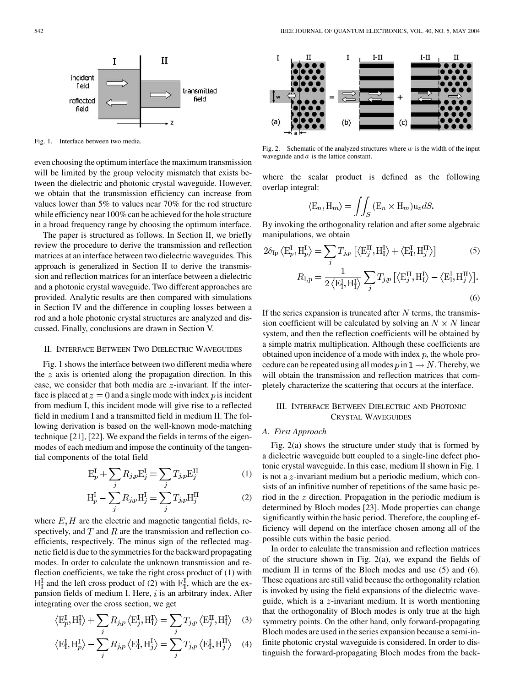

Fig. 1. Interface between two media.

even choosing the optimum interface the maximum transmission will be limited by the group velocity mismatch that exists between the dielectric and photonic crystal waveguide. However, we obtain that the transmission efficiency can increase from values lower than 5% to values near 70% for the rod structure while efficiency near 100% can be achieved for the hole structure in a broad frequency range by choosing the optimum interface.

The paper is structured as follows. In Section II, we briefly review the procedure to derive the transmission and reflection matrices at an interface between two dielectric waveguides. This approach is generalized in Section II to derive the transmission and reflection matrices for an interface between a dielectric and a photonic crystal waveguide. Two different approaches are provided. Analytic results are then compared with simulations in Section IV and the difference in coupling losses between a rod and a hole photonic crystal structures are analyzed and discussed. Finally, conclusions are drawn in Section V.

## II. INTERFACE BETWEEN TWO DIELECTRIC WAVEGUIDES

Fig. 1 shows the interface between two different media where the  $z$  axis is oriented along the propagation direction. In this case, we consider that both media are  $z$ -invariant. If the interface is placed at  $z = 0$  and a single mode with index p is incident from medium I, this incident mode will give rise to a reflected field in medium I and a transmitted field in medium II. The following derivation is based on the well-known mode-matching technique [[21\]](#page-9-0), [[22\]](#page-9-0). We expand the fields in terms of the eigenmodes of each medium and impose the continuity of the tangential components of the total field

$$
E_p^I + \sum_j R_{j,p} E_j^I = \sum_j T_{j,p} E_j^{II}
$$
 (1)

$$
H_p^I - \sum_j R_{j,p} H_j^I = \sum_j T_{j,p} H_j^{II}
$$
 (2)

where  $E$ ,  $H$  are the electric and magnetic tangential fields, respectively, and  $T$  and  $R$  are the transmission and reflection coefficients, respectively. The minus sign of the reflected magnetic field is due to the symmetries for the backward propagating modes. In order to calculate the unknown transmission and reflection coefficients, we take the right cross product of (1) with  $H_I^1$  and the left cross product of (2) with  $E_I^I$ , which are the expansion fields of medium I. Here,  $i$  is an arbitrary index. After integrating over the cross section, we get

$$
\langle E_p^I, H_I^I \rangle + \sum_j R_{j,p} \langle E_j^I, H_I^I \rangle = \sum_j T_{j,p} \langle E_j^{\text{II}}, H_I^I \rangle \quad (3)
$$

$$
\left\langle \mathbf{E}_{\mathbf{I}}^{\mathbf{I}}, \mathbf{H}_{p}^{\mathbf{I}} \right\rangle - \sum_{j} R_{j,p} \left\langle \mathbf{E}_{\mathbf{I}}^{\mathbf{I}}, \mathbf{H}_{j}^{\mathbf{I}} \right\rangle = \sum_{j} T_{j,p} \left\langle \mathbf{E}_{\mathbf{I}}^{\mathbf{I}}, \mathbf{H}_{j}^{\mathbf{II}} \right\rangle \tag{4}
$$



Fig. 2. Schematic of the analyzed structures where  $w$  is the width of the input waveguide and a is the lattice constant.

where the scalar product is defined as the following overlap integral:

$$
\langle E_n, H_m \rangle = \iint_S (E_n \times H_m) u_z dS.
$$

By invoking the orthogonality relation and after some algebraic manipulations, we obtain

$$
2\delta_{\text{Ip}}\left\langle E_p^{\text{I}}, H_p^{\text{I}} \right\rangle = \sum_j T_{j,p} \left[ \left\langle E_j^{\text{II}}, H_j^{\text{I}} \right\rangle + \left\langle E_j^{\text{I}}, H_j^{\text{II}} \right\rangle \right] \tag{5}
$$

$$
R_{\text{I,p}} = \frac{1}{2\left\langle E_j^{\text{I}}, H_j^{\text{I}} \right\rangle} \sum_j T_{j,p} \left[ \left\langle E_j^{\text{II}}, H_j^{\text{I}} \right\rangle - \left\langle E_j^{\text{I}}, H_j^{\text{II}} \right\rangle \right]. \tag{6}
$$

If the series expansion is truncated after  $N$  terms, the transmission coefficient will be calculated by solving an  $N \times N$  linear system, and then the reflection coefficients will be obtained by a simple matrix multiplication. Although these coefficients are obtained upon incidence of a mode with index  $p$ , the whole procedure can be repeated using all modes  $p$  in  $1 \rightarrow N$ . Thereby, we will obtain the transmission and reflection matrices that completely characterize the scattering that occurs at the interface.

# III. INTERFACE BETWEEN DIELECTRIC AND PHOTONIC CRYSTAL WAVEGUIDES

#### *A. First Approach*

Fig. 2(a) shows the structure under study that is formed by a dielectric waveguide butt coupled to a single-line defect photonic crystal waveguide. In this case, medium II shown in Fig. 1 is not a  $z$ -invariant medium but a periodic medium, which consists of an infinitive number of repetitions of the same basic period in the  $z$  direction. Propagation in the periodic medium is determined by Bloch modes [[23\]](#page-9-0). Mode properties can change significantly within the basic period. Therefore, the coupling efficiency will depend on the interface chosen among all of the possible cuts within the basic period.

In order to calculate the transmission and reflection matrices of the structure shown in Fig. 2(a), we expand the fields of medium II in terms of the Bloch modes and use (5) and (6). These equations are still valid because the orthogonality relation is invoked by using the field expansions of the dielectric waveguide, which is a  $z$ -invariant medium. It is worth mentioning that the orthogonality of Bloch modes is only true at the high symmetry points. On the other hand, only forward-propagating Bloch modes are used in the series expansion because a semi-infinite photonic crystal waveguide is considered. In order to distinguish the forward-propagating Bloch modes from the back-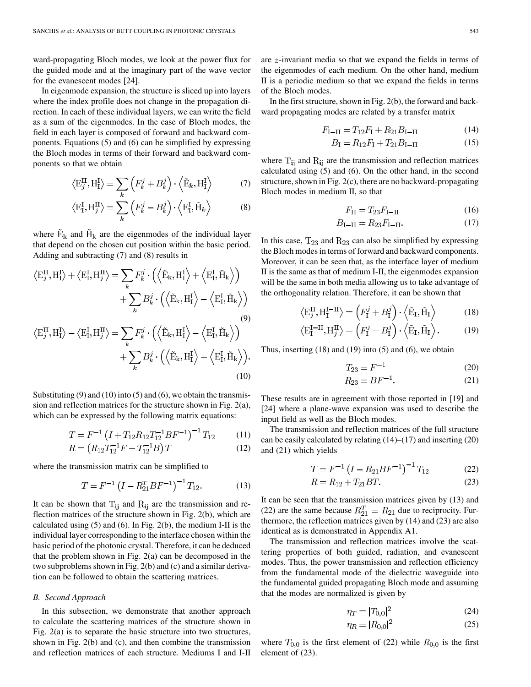ward-propagating Bloch modes, we look at the power flux for the guided mode and at the imaginary part of the wave vector for the evanescent modes [[24\]](#page-9-0).

In eigenmode expansion, the structure is sliced up into layers where the index profile does not change in the propagation direction. In each of these individual layers, we can write the field as a sum of the eigenmodes. In the case of Bloch modes, the field in each layer is composed of forward and backward components. Equations (5) and (6) can be simplified by expressing the Bloch modes in terms of their forward and backward components so that we obtain

$$
\left\langle \mathbf{E}_{j}^{\mathrm{II}}, \mathbf{H}_{\mathrm{I}}^{\mathrm{I}} \right\rangle = \sum_{k} \left( F_{k}^{j} + B_{k}^{j} \right) \cdot \left\langle \tilde{\mathbf{E}}_{k}, \mathbf{H}_{\mathrm{I}}^{\mathrm{I}} \right\rangle \tag{7}
$$

$$
\left\langle \mathbf{E}_{\mathbf{I}}^{\mathbf{I}}, \mathbf{H}_{j}^{\mathbf{II}} \right\rangle = \sum_{k} \left( F_{k}^{j} - B_{k}^{j} \right) \cdot \left\langle \mathbf{E}_{\mathbf{I}}^{\mathbf{I}}, \tilde{\mathbf{H}}_{k} \right\rangle \tag{8}
$$

where  $\hat{E}_k$  and  $\hat{H}_k$  are the eigenmodes of the individual layer that depend on the chosen cut position within the basic period. Adding and subtracting (7) and (8) results in

$$
\langle E_j^{\text{II}}, H_1^{\text{I}} \rangle + \langle E_1^{\text{I}}, H_j^{\text{II}} \rangle = \sum_k F_k^j \cdot \left( \left\langle \tilde{E}_k, H_1^{\text{I}} \right\rangle + \left\langle E_1^{\text{I}}, \tilde{H}_k \right\rangle \right) + \sum_k B_k^j \cdot \left( \left\langle \tilde{E}_k, H_1^{\text{I}} \right\rangle - \left\langle E_1^{\text{I}}, \tilde{H}_k \right\rangle \right) \n\langle E_j^{\text{II}}, H_1^{\text{I}} \rangle - \left\langle E_1^{\text{I}}, H_j^{\text{II}} \right\rangle = \sum_k F_k^j \cdot \left( \left\langle \tilde{E}_k, H_1^{\text{I}} \right\rangle - \left\langle E_1^{\text{I}}, \tilde{H}_k \right\rangle \right) + \sum_k B_k^j \cdot \left( \left\langle \tilde{E}_k, H_1^{\text{I}} \right\rangle + \left\langle E_1^{\text{I}}, \tilde{H}_k \right\rangle \right).
$$
\n(10)

Substituting  $(9)$  and  $(10)$  into  $(5)$  and  $(6)$ , we obtain the transmission and reflection matrices for the structure shown in Fig. 2(a), which can be expressed by the following matrix equations:

$$
T = F^{-1} \left( I + T_{12} R_{12} T_{12}^{-1} B F^{-1} \right)^{-1} T_{12} \tag{11}
$$

$$
R = (R_{12}T_{12}^{-1}F + T_{12}^{-1}B)T
$$
 (12)

where the transmission matrix can be simplified to

$$
T = F^{-1} \left( I - R_{21}^T B F^{-1} \right)^{-1} T_{12}.
$$
 (13)

It can be shown that  $T_{ij}$  and  $R_{ij}$  are the transmission and reflection matrices of the structure shown in Fig. 2(b), which are calculated using (5) and (6). In Fig. 2(b), the medium I-II is the individual layer corresponding to the interface chosen within the basic period of the photonic crystal. Therefore, it can be deduced that the problem shown in Fig. 2(a) can be decomposed in the two subproblems shown in Fig. 2(b) and (c) and a similar derivation can be followed to obtain the scattering matrices.

#### *B. Second Approach*

In this subsection, we demonstrate that another approach to calculate the scattering matrices of the structure shown in Fig. 2(a) is to separate the basic structure into two structures, shown in Fig. 2(b) and (c), and then combine the transmission and reflection matrices of each structure. Mediums I and I-II are  $z$ -invariant media so that we expand the fields in terms of the eigenmodes of each medium. On the other hand, medium II is a periodic medium so that we expand the fields in terms of the Bloch modes.

In the first structure, shown in Fig. 2(b), the forward and backward propagating modes are related by a transfer matrix

$$
F_{\text{I-II}} = T_{12}F_{\text{I}} + R_{21}B_{\text{I-II}} \tag{14}
$$

$$
B_{\rm I} = R_{12}F_{\rm I} + T_{21}B_{\rm I-II} \tag{15}
$$

where  $T_{ij}$  and  $R_{ij}$  are the transmission and reflection matrices calculated using (5) and (6). On the other hand, in the second structure, shown in Fig. 2(c), there are no backward-propagating Bloch modes in medium II, so that

$$
F_{\rm II} = T_{23} F_{\rm I-II} \tag{16}
$$

$$
B_{\text{I-II}} = R_{23} F_{\text{I-II}}.\tag{17}
$$

In this case,  $T_{23}$  and  $R_{23}$  can also be simplified by expressing the Bloch modes in terms of forward and backward components. Moreover, it can be seen that, as the interface layer of medium II is the same as that of medium I-II, the eigenmodes expansion will be the same in both media allowing us to take advantage of the orthogonality relation. Therefore, it can be shown that

$$
\left\langle \mathbf{E}_{j}^{\mathrm{II}}, \mathbf{H}_{\mathrm{I}}^{\mathrm{I}-\mathrm{II}} \right\rangle = \left( F_{\mathrm{I}}^{j} + B_{\mathrm{I}}^{j} \right) \cdot \left\langle \tilde{\mathbf{E}}_{\mathrm{I}}, \tilde{\mathbf{H}}_{\mathrm{I}} \right\rangle \tag{18}
$$

and an

$$
\left\langle \mathbf{E}_{\mathbf{I}}^{\mathbf{I}-\mathbf{II}}, \mathbf{H}_{j}^{\mathbf{II}} \right\rangle = \left( F_{\mathbf{I}}^{j} - B_{\mathbf{I}}^{j} \right) \cdot \left\langle \tilde{\mathbf{E}}_{\mathbf{I}}, \tilde{\mathbf{H}}_{\mathbf{I}} \right\rangle. \tag{19}
$$

Thus, inserting  $(18)$  and  $(19)$  into  $(5)$  and  $(6)$ , we obtain

$$
T_{23} = F^{-1} \tag{20}
$$

$$
R_{23} = BF^{-1}.
$$
 (21)

These results are in agreement with those reported in [[19\]](#page-9-0) and [\[24](#page-9-0)] where a plane-wave expansion was used to describe the input field as well as the Bloch modes.

The transmission and reflection matrices of the full structure can be easily calculated by relating (14)–(17) and inserting (20) and (21) which yields

$$
T = F^{-1} \left( I - R_{21} B F^{-1} \right)^{-1} T_{12} \tag{22}
$$

$$
R = R_{12} + T_{21}BT.
$$
 (23)

It can be seen that the transmission matrices given by (13) and (22) are the same because  $R_{21}^T = R_{21}$  due to reciprocity. Furthermore, the reflection matrices given by (14) and (23) are also identical as is demonstrated in Appendix A1.

The transmission and reflection matrices involve the scattering properties of both guided, radiation, and evanescent modes. Thus, the power transmission and reflection efficiency from the fundamental mode of the dielectric waveguide into the fundamental guided propagating Bloch mode and assuming that the modes are normalized is given by

$$
\eta_T = |T_{0,0}|^2 \tag{24}
$$

$$
\eta_R = |R_{0,0}|^2 \tag{25}
$$

where  $T_{0,0}$  is the first element of (22) while  $R_{0,0}$  is the first element of (23).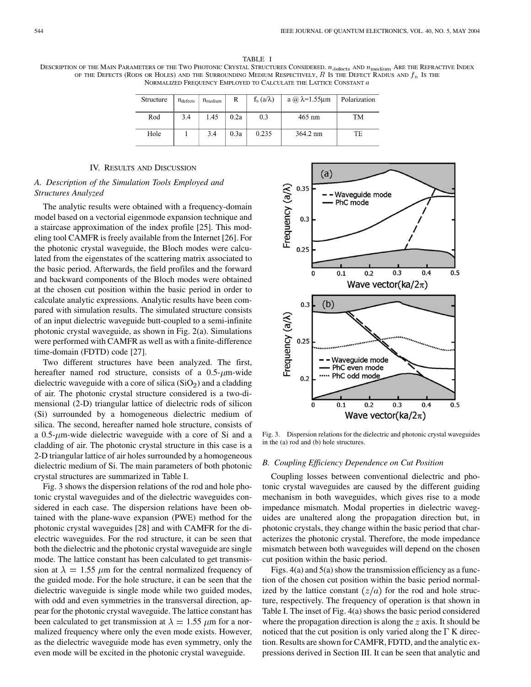TABLE I DESCRIPTION OF THE MAIN PARAMETERS OF THE TWO PHOTONIC CRYSTAL STRUCTURES CONSIDERED.  $n_{\rm defects}$  and  $n_{\rm medium}$  ARE THE REFRACTIVE INDEX OF THE DEFECTS (RODS OR HOLES) AND THE SURROUNDING MEDIUM RESPECTIVELY,  $R$  Is the Defect Radius and  $f_n$  is the NORMALIZED FREQUENCY EMPLOYED TO CALCULATE THE LATTICE CONSTANT a

| Structure | $n_{\text{defects}}$ | $n_{\text{medium}}$ | R    | $f_n(a/\lambda)$ | a @ $\lambda$ =1.55 $\mu$ m | Polarization |
|-----------|----------------------|---------------------|------|------------------|-----------------------------|--------------|
| Rod       | 3.4                  | 1.45                | 0.2a | 0.3              | $465$ nm                    | TM           |
| Hole      |                      | 3.4                 | 0.3a | 0.235            | 364.2 nm                    | TЕ           |

## IV. RESULTS AND DISCUSSION

# *A. Description of the Simulation Tools Employed and Structures Analyzed*

The analytic results were obtained with a frequency-domain model based on a vectorial eigenmode expansion technique and a staircase approximation of the index profile [\[25](#page-9-0)]. This modeling tool CAMFR is freely available from the Internet [\[26](#page-9-0)]. For the photonic crystal waveguide, the Bloch modes were calculated from the eigenstates of the scattering matrix associated to the basic period. Afterwards, the field profiles and the forward and backward components of the Bloch modes were obtained at the chosen cut position within the basic period in order to calculate analytic expressions. Analytic results have been compared with simulation results. The simulated structure consists of an input dielectric waveguide butt-coupled to a semi-infinite photonic crystal waveguide, as shown in Fig. 2(a). Simulations were performed with CAMFR as well as with a finite-difference time-domain (FDTD) code [[27\]](#page-9-0).

Two different structures have been analyzed. The first, hereafter named rod structure, consists of a  $0.5$ - $\mu$ m-wide dielectric waveguide with a core of silica  $(SiO<sub>2</sub>)$  and a cladding of air. The photonic crystal structure considered is a two-dimensional (2-D) triangular lattice of dielectric rods of silicon (Si) surrounded by a homogeneous dielectric medium of silica. The second, hereafter named hole structure, consists of a  $0.5$ - $\mu$ m-wide dielectric waveguide with a core of Si and a cladding of air. The photonic crystal structure in this case is a 2-D triangular lattice of air holes surrounded by a homogeneous dielectric medium of Si. The main parameters of both photonic crystal structures are summarized in Table I.

Fig. 3 shows the dispersion relations of the rod and hole photonic crystal waveguides and of the dielectric waveguides considered in each case. The dispersion relations have been obtained with the plane-wave expansion (PWE) method for the photonic crystal waveguides [\[28\]](#page-9-0) and with CAMFR for the dielectric waveguides. For the rod structure, it can be seen that both the dielectric and the photonic crystal waveguide are single mode. The lattice constant has been calculated to get transmission at  $\lambda = 1.55 \mu m$  for the central normalized frequency of the guided mode. For the hole structure, it can be seen that the dielectric waveguide is single mode while two guided modes, with odd and even symmetries in the transversal direction, appear for the photonic crystal waveguide. The lattice constant has been calculated to get transmission at  $\lambda = 1.55 \ \mu \text{m}$  for a normalized frequency where only the even mode exists. However, as the dielectric waveguide mode has even symmetry, only the even mode will be excited in the photonic crystal waveguide.



Fig. 3. Dispersion relations for the dielectric and photonic crystal waveguides in the (a) rod and (b) hole structures.

## *B. Coupling Efficiency Dependence on Cut Position*

Coupling losses between conventional dielectric and photonic crystal waveguides are caused by the different guiding mechanism in both waveguides, which gives rise to a mode impedance mismatch. Modal properties in dielectric waveguides are unaltered along the propagation direction but, in photonic crystals, they change within the basic period that characterizes the photonic crystal. Therefore, the mode impedance mismatch between both waveguides will depend on the chosen cut position within the basic period.

Figs.  $4(a)$  and  $5(a)$  show the transmission efficiency as a function of the chosen cut position within the basic period normalized by the lattice constant  $(z/a)$  for the rod and hole structure, respectively. The frequency of operation is that shown in Table I. The inset of Fig. 4(a) shows the basic period considered where the propagation direction is along the  $z$  axis. It should be noticed that the cut position is only varied along the  $\Gamma K$  direction. Results are shown for CAMFR, FDTD, and the analytic expressions derived in Section III. It can be seen that analytic and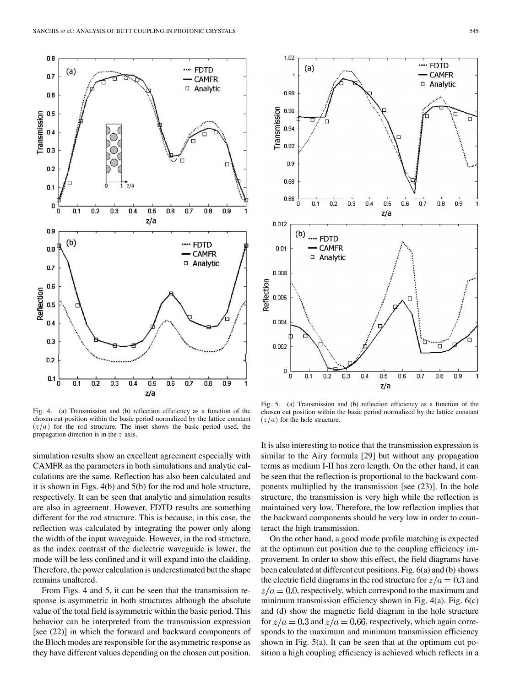



simulation results show an excellent agreement especially with CAMFR as the parameters in both simulations and analytic calculations are the same. Reflection has also been calculated and it is shown in Figs. 4(b) and 5(b) for the rod and hole structure, respectively. It can be seen that analytic and simulation results are also in agreement. However, FDTD results are something different for the rod structure. This is because, in this case, the reflection was calculated by integrating the power only along the width of the input waveguide. However, in the rod structure, as the index contrast of the dielectric waveguide is lower, the mode will be less confined and it will expand into the cladding. Therefore, the power calculation is underestimated but the shape remains unaltered.

From Figs. 4 and 5, it can be seen that the transmission response is asymmetric in both structures although the absolute value of the total field is symmetric within the basic period. This behavior can be interpreted from the transmission expression [see (22)] in which the forward and backward components of the Bloch modes are responsible for the asymmetric response as they have different values depending on the chosen cut position.



Fig. 5. (a) Transmission and (b) reflection efficiency as a function of the chosen cut position within the basic period normalized by the lattice constant  $(z/a)$  for the hole structure.

It is also interesting to notice that the transmission expression is similar to the Airy formula [[29\]](#page-9-0) but without any propagation terms as medium I-II has zero length. On the other hand, it can be seen that the reflection is proportional to the backward components multiplied by the transmission [see (23)]. In the hole structure, the transmission is very high while the reflection is maintained very low. Therefore, the low reflection implies that the backward components should be very low in order to counteract the high transmission.

On the other hand, a good mode profile matching is expected at the optimum cut position due to the coupling efficiency improvement. In order to show this effect, the field diagrams have been calculated at different cut positions. Fig. 6(a) and (b) shows the electric field diagrams in the rod structure for  $z/a = 0.3$  and  $z/a = 0.0$ , respectively, which correspond to the maximum and minimum transmission efficiency shown in Fig.  $4(a)$ . Fig.  $6(c)$ and (d) show the magnetic field diagram in the hole structure for  $z/a = 0.3$  and  $z/a = 0.66$ , respectively, which again corresponds to the maximum and minimum transmission efficiency shown in Fig. 5(a). It can be seen that at the optimum cut position a high coupling efficiency is achieved which reflects in a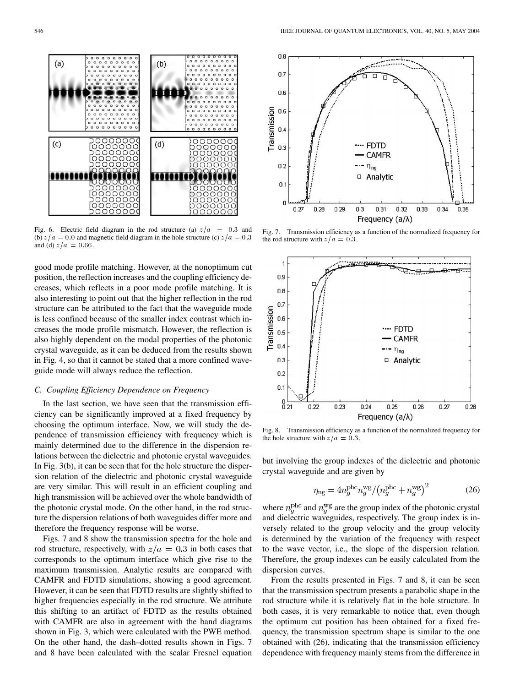$0000$  $(a)$  $(b)$ 0000000<br>00000000  $00000$  $(c)$  $(d)$ poppoc 0000 0000 nnn OOOO C C  $\bigcap$ 

Fig. 6. Electric field diagram in the rod structure (a)  $z/a = 0.3$  and (b)  $z/a = 0.0$  and magnetic field diagram in the hole structure (c)  $z/a = 0.3$ and (d)  $z/a = 0.66$ .

good mode profile matching. However, at the nonoptimum cut position, the reflection increases and the coupling efficiency decreases, which reflects in a poor mode profile matching. It is also interesting to point out that the higher reflection in the rod structure can be attributed to the fact that the waveguide mode is less confined because of the smaller index contrast which increases the mode profile mismatch. However, the reflection is also highly dependent on the modal properties of the photonic crystal waveguide, as it can be deduced from the results shown in Fig. 4, so that it cannot be stated that a more confined waveguide mode will always reduce the reflection.

#### *C. Coupling Efficiency Dependence on Frequency*

In the last section, we have seen that the transmission efficiency can be significantly improved at a fixed frequency by choosing the optimum interface. Now, we will study the dependence of transmission efficiency with frequency which is mainly determined due to the difference in the dispersion relations between the dielectric and photonic crystal waveguides. In Fig. 3(b), it can be seen that for the hole structure the dispersion relation of the dielectric and photonic crystal waveguide are very similar. This will result in an efficient coupling and high transmission will be achieved over the whole bandwidth of the photonic crystal mode. On the other hand, in the rod structure the dispersion relations of both waveguides differ more and therefore the frequency response will be worse.

Figs. 7 and 8 show the transmission spectra for the hole and rod structure, respectively, with  $z/a = 0.3$  in both cases that corresponds to the optimum interface which give rise to the maximum transmission. Analytic results are compared with CAMFR and FDTD simulations, showing a good agreement. However, it can be seen that FDTD results are slightly shifted to higher frequencies especially in the rod structure. We attribute this shifting to an artifact of FDTD as the results obtained with CAMFR are also in agreement with the band diagrams shown in Fig. 3, which were calculated with the PWE method. On the other hand, the dash–dotted results shown in Figs. 7 and 8 have been calculated with the scalar Fresnel equation



Fig. 7. Transmission efficiency as a function of the normalized frequency for the rod structure with  $z/a = 0.3$ .



Fig. 8. Transmission efficiency as a function of the normalized frequency for the hole structure with  $z/a = 0.3$ .

but involving the group indexes of the dielectric and photonic crystal waveguide and are given by

$$
\eta_{\rm ng} = 4n_g^{\rm phc} n_g^{\rm wg} / (n_g^{\rm phc} + n_g^{\rm wg})^2 \tag{26}
$$

where  $n_g^{\text{phc}}$  and  $n_g^{\text{wg}}$  are the group index of the photonic crystal and dielectric waveguides, respectively. The group index is inversely related to the group velocity and the group velocity is determined by the variation of the frequency with respect to the wave vector, i.e., the slope of the dispersion relation. Therefore, the group indexes can be easily calculated from the dispersion curves.

From the results presented in Figs. 7 and 8, it can be seen that the transmission spectrum presents a parabolic shape in the rod structure while it is relatively flat in the hole structure. In both cases, it is very remarkable to notice that, even though the optimum cut position has been obtained for a fixed frequency, the transmission spectrum shape is similar to the one obtained with (26), indicating that the transmission efficiency dependence with frequency mainly stems from the difference in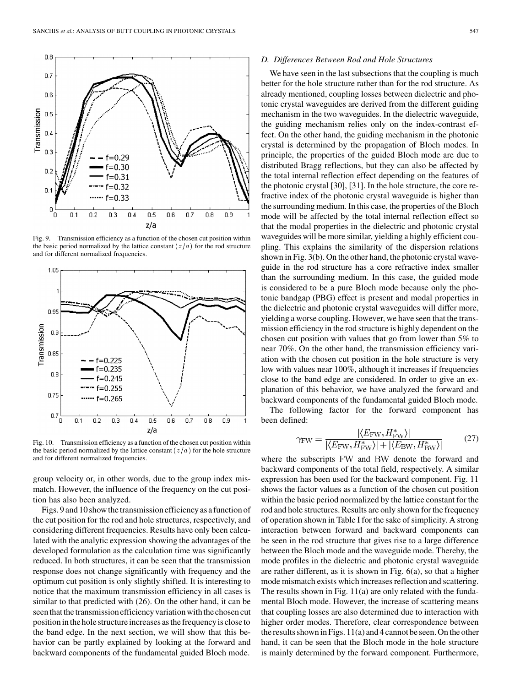

Fig. 9. Transmission efficiency as a function of the chosen cut position within the basic period normalized by the lattice constant  $(z/a)$  for the rod structure and for different normalized frequencies.



Fig. 10. Transmission efficiency as a function of the chosen cut position within the basic period normalized by the lattice constant  $(z/a)$  for the hole structure and for different normalized frequencies.

group velocity or, in other words, due to the group index mismatch. However, the influence of the frequency on the cut position has also been analyzed.

Figs. 9 and 10 show the transmission efficiency as a function of the cut position for the rod and hole structures, respectively, and considering different frequencies. Results have only been calculated with the analytic expression showing the advantages of the developed formulation as the calculation time was significantly reduced. In both structures, it can be seen that the transmission response does not change significantly with frequency and the optimum cut position is only slightly shifted. It is interesting to notice that the maximum transmission efficiency in all cases is similar to that predicted with (26). On the other hand, it can be seen that the transmission efficiency variation with the chosen cut position in the hole structure increases as the frequency is close to the band edge. In the next section, we will show that this behavior can be partly explained by looking at the forward and backward components of the fundamental guided Bloch mode.

#### *D. Differences Between Rod and Hole Structures*

We have seen in the last subsections that the coupling is much better for the hole structure rather than for the rod structure. As already mentioned, coupling losses between dielectric and photonic crystal waveguides are derived from the different guiding mechanism in the two waveguides. In the dielectric waveguide, the guiding mechanism relies only on the index-contrast effect. On the other hand, the guiding mechanism in the photonic crystal is determined by the propagation of Bloch modes. In principle, the properties of the guided Bloch mode are due to distributed Bragg reflections, but they can also be affected by the total internal reflection effect depending on the features of the photonic crystal [[30\]](#page-9-0), [[31\]](#page-9-0). In the hole structure, the core refractive index of the photonic crystal waveguide is higher than the surrounding medium. In this case, the properties of the Bloch mode will be affected by the total internal reflection effect so that the modal properties in the dielectric and photonic crystal waveguides will be more similar, yielding a highly efficient coupling. This explains the similarity of the dispersion relations shown in Fig. 3(b). On the other hand, the photonic crystal waveguide in the rod structure has a core refractive index smaller than the surrounding medium. In this case, the guided mode is considered to be a pure Bloch mode because only the photonic bandgap (PBG) effect is present and modal properties in the dielectric and photonic crystal waveguides will differ more, yielding a worse coupling. However, we have seen that the transmission efficiency in the rod structure is highly dependent on the chosen cut position with values that go from lower than 5% to near 70%. On the other hand, the transmission efficiency variation with the chosen cut position in the hole structure is very low with values near 100%, although it increases if frequencies close to the band edge are considered. In order to give an explanation of this behavior, we have analyzed the forward and backward components of the fundamental guided Bloch mode.

The following factor for the forward component has been defined:

$$
\gamma_{\rm FW} = \frac{|\langle E_{\rm FW}, H_{\rm FW}^* \rangle|}{|\langle E_{\rm FW}, H_{\rm FW}^* \rangle| + |\langle E_{\rm BW}, H_{\rm BW}^* \rangle|} \tag{27}
$$

where the subscripts FW and BW denote the forward and backward components of the total field, respectively. A similar expression has been used for the backward component. Fig. 11 shows the factor values as a function of the chosen cut position within the basic period normalized by the lattice constant for the rod and hole structures. Results are only shown for the frequency of operation shown in Table I for the sake of simplicity. A strong interaction between forward and backward components can be seen in the rod structure that gives rise to a large difference between the Bloch mode and the waveguide mode. Thereby, the mode profiles in the dielectric and photonic crystal waveguide are rather different, as it is shown in Fig. 6(a), so that a higher mode mismatch exists which increases reflection and scattering. The results shown in Fig. 11(a) are only related with the fundamental Bloch mode. However, the increase of scattering means that coupling losses are also determined due to interaction with higher order modes. Therefore, clear correspondence between the results shown in Figs. 11(a) and 4 cannot be seen. On the other hand, it can be seen that the Bloch mode in the hole structure is mainly determined by the forward component. Furthermore,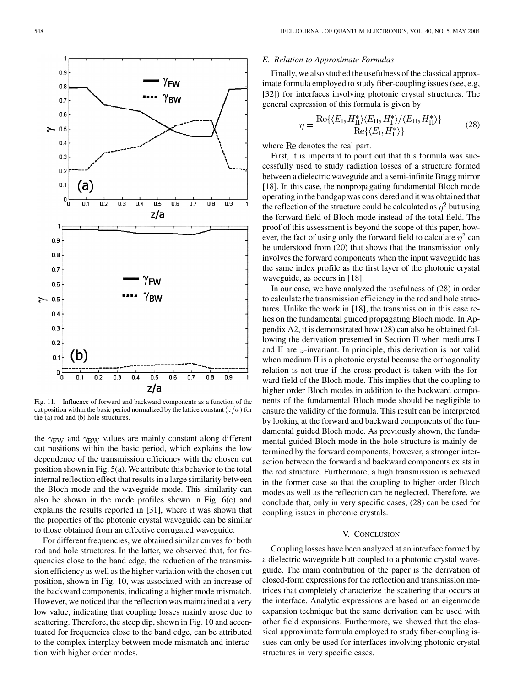

Fig. 11. Influence of forward and backward components as a function of the cut position within the basic period normalized by the lattice constant  $(z/a)$  for the (a) rod and (b) hole structures.

the  $\gamma_{\rm FW}$  and  $\gamma_{\rm BW}$  values are mainly constant along different cut positions within the basic period, which explains the low dependence of the transmission efficiency with the chosen cut position shown in Fig. 5(a). We attribute this behavior to the total internal reflection effect that results in a large similarity between the Bloch mode and the waveguide mode. This similarity can also be shown in the mode profiles shown in Fig. 6(c) and explains the results reported in [\[31\]](#page-9-0), where it was shown that the properties of the photonic crystal waveguide can be similar to those obtained from an effective corrugated waveguide.

For different frequencies, we obtained similar curves for both rod and hole structures. In the latter, we observed that, for frequencies close to the band edge, the reduction of the transmission efficiency as well as the higher variation with the chosen cut position, shown in Fig. 10, was associated with an increase of the backward components, indicating a higher mode mismatch. However, we noticed that the reflection was maintained at a very low value, indicating that coupling losses mainly arose due to scattering. Therefore, the steep dip, shown in Fig. 10 and accentuated for frequencies close to the band edge, can be attributed to the complex interplay between mode mismatch and interaction with higher order modes.

### *E. Relation to Approximate Formulas*

Finally, we also studied the usefulness of the classical approximate formula employed to study fiber-coupling issues (see, e.g, [[32\]](#page-9-0)) for interfaces involving photonic crystal structures. The general expression of this formula is given by

$$
\eta = \frac{\text{Re}\{\langle E_{\text{I}}, H_{\text{II}}^*\rangle \langle E_{\text{II}}, H_{\text{I}}^*\rangle / \langle E_{\text{II}}, H_{\text{II}}^*\rangle\}}{\text{Re}\{\langle E_{\text{I}}, H_{\text{I}}^*\rangle\}}
$$
(28)

where Re denotes the real part.

First, it is important to point out that this formula was successfully used to study radiation losses of a structure formed between a dielectric waveguide and a semi-infinite Bragg mirror [[18\]](#page-9-0). In this case, the nonpropagating fundamental Bloch mode operating in the bandgap was considered and it was obtained that the reflection of the structure could be calculated as  $\eta^2$  but using the forward field of Bloch mode instead of the total field. The proof of this assessment is beyond the scope of this paper, however, the fact of using only the forward field to calculate  $\eta^2$  can be understood from (20) that shows that the transmission only involves the forward components when the input waveguide has the same index profile as the first layer of the photonic crystal waveguide, as occurs in [\[18](#page-9-0)].

In our case, we have analyzed the usefulness of (28) in order to calculate the transmission efficiency in the rod and hole structures. Unlike the work in [[18\]](#page-9-0), the transmission in this case relies on the fundamental guided propagating Bloch mode. In Appendix A2, it is demonstrated how (28) can also be obtained following the derivation presented in Section II when mediums I and II are  $z$ -invariant. In principle, this derivation is not valid when medium II is a photonic crystal because the orthogonality relation is not true if the cross product is taken with the forward field of the Bloch mode. This implies that the coupling to higher order Bloch modes in addition to the backward components of the fundamental Bloch mode should be negligible to ensure the validity of the formula. This result can be interpreted by looking at the forward and backward components of the fundamental guided Bloch mode. As previously shown, the fundamental guided Bloch mode in the hole structure is mainly determined by the forward components, however, a stronger interaction between the forward and backward components exists in the rod structure. Furthermore, a high transmission is achieved in the former case so that the coupling to higher order Bloch modes as well as the reflection can be neglected. Therefore, we conclude that, only in very specific cases, (28) can be used for coupling issues in photonic crystals.

## V. CONCLUSION

Coupling losses have been analyzed at an interface formed by a dielectric waveguide butt coupled to a photonic crystal waveguide. The main contribution of the paper is the derivation of closed-form expressions for the reflection and transmission matrices that completely characterize the scattering that occurs at the interface. Analytic expressions are based on an eigenmode expansion technique but the same derivation can be used with other field expansions. Furthermore, we showed that the classical approximate formula employed to study fiber-coupling issues can only be used for interfaces involving photonic crystal structures in very specific cases.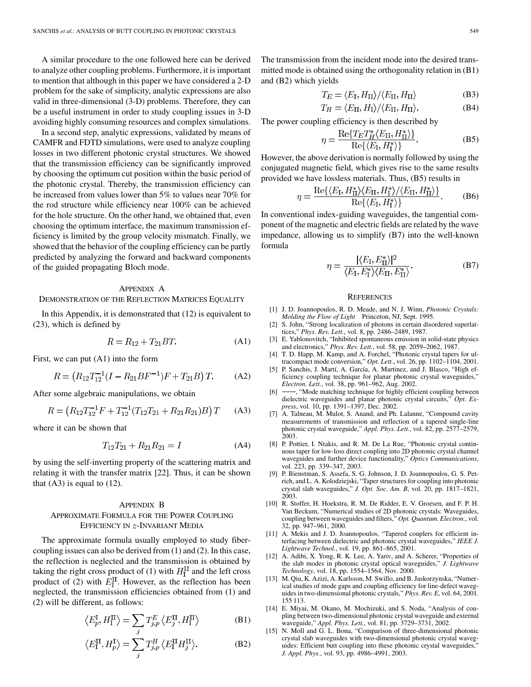<span id="page-8-0"></span>A similar procedure to the one followed here can be derived to analyze other coupling problems. Furthermore, it is important to mention that although in this paper we have considered a 2-D problem for the sake of simplicity, analytic expressions are also valid in three-dimensional (3-D) problems. Therefore, they can be a useful instrument in order to study coupling issues in 3-D avoiding highly consuming resources and complex simulations.

In a second step, analytic expressions, validated by means of CAMFR and FDTD simulations, were used to analyze coupling losses in two different photonic crystal structures. We showed that the transmission efficiency can be significantly improved by choosing the optimum cut position within the basic period of the photonic crystal. Thereby, the transmission efficiency can be increased from values lower than 5% to values near 70% for the rod structure while efficiency near 100% can be achieved for the hole structure. On the other hand, we obtained that, even choosing the optimum interface, the maximum transmission efficiency is limited by the group velocity mismatch. Finally, we showed that the behavior of the coupling efficiency can be partly predicted by analyzing the forward and backward components of the guided propagating Bloch mode.

#### APPENDIX A

#### DEMONSTRATION OF THE REFLECTION MATRICES EQUALITY

In this Appendix, it is demonstrated that (12) is equivalent to (23), which is defined by

$$
R = R_{12} + T_{21}BT.
$$
 (A1)

First, we can put (A1) into the form

$$
R = (R_{12}T_{12}^{-1}(I - R_{21}BF^{-1})F + T_{21}B)T.
$$
 (A2)

After some algebraic manipulations, we obtain

$$
R = (R_{12}T_{12}^{-1}F + T_{12}^{-1}(T_{12}T_{21} + R_{21}R_{21})B)T
$$
 (A3)

where it can be shown that

$$
T_{12}T_{21} + R_{21}R_{21} = I \tag{A4}
$$

by using the self-inverting property of the scattering matrix and relating it with the transfer matrix [[22\]](#page-9-0). Thus, it can be shown that  $(A3)$  is equal to  $(12)$ .

# APPENDIX B APPROXIMATE FORMULA FOR THE POWER COUPLING EFFICIENCY IN *z*-INVARIANT MEDIA

The approximate formula usually employed to study fibercoupling issues can also be derived from (1) and (2). In this case, the reflection is neglected and the transmission is obtained by taking the right cross product of (1) with  $H_I^{\text{II}}$  and the left cross product of (2) with  $E_1^{\text{II}}$ . However, as the reflection has been neglected, the transmission efficiencies obtained from (1) and (2) will be different, as follows:

$$
\langle E_p^{\rm I}, H_{\rm I}^{\rm II} \rangle = \sum_i T_{j,p}^E \langle E_j^{\rm II}, H_{\rm I}^{\rm II} \rangle \tag{B1}
$$

$$
\langle E_1^{\rm II}, H_p^{\rm I} \rangle = \sum_j T_{j,p}^H \langle E_1^{\rm II} H_j^{\rm II} \rangle. \tag{B2}
$$

The transmission from the incident mode into the desired transmitted mode is obtained using the orthogonality relation in (B1) and (B2) which yields

$$
T_E = \langle E_{\rm I}, H_{\rm II} \rangle / \langle E_{\rm II}, H_{\rm II} \rangle \tag{B3}
$$

$$
T_H = \langle E_{\rm II}, H_{\rm I} \rangle / \langle E_{\rm II}, H_{\rm II} \rangle. \tag{B4}
$$

The power coupling efficiency is then described by

$$
\eta = \frac{\text{Re}\{T_E T_H^* \langle E_{\text{II}}, H_{\text{II}}^* \rangle\}}{\text{Re}\{\langle E_{\text{I}}, H_{\text{I}}^* \rangle\}}.
$$
 (B5)

However, the above derivation is normally followed by using the conjugated magnetic field, which gives rise to the same results provided we have lossless materials. Thus, (B5) results in

$$
\eta = \frac{\text{Re}\{\langle E_{\text{I}}, H_{\text{II}}^*\rangle \langle E_{\text{II}}, H_{\text{I}}^*\rangle / \langle E_{\text{II}}, H_{\text{II}}^*\rangle\}}{\text{Re}\{\langle E_{\text{I}}, H_{\text{I}}^*\rangle\}}.
$$
 (B6)

In conventional index-guiding waveguides, the tangential component of the magnetic and electric fields are related by the wave impedance, allowing us to simplify (B7) into the well-known formula

$$
\eta = \frac{|\langle E_{\rm I}, E_{\rm II}^* \rangle|^2}{\langle E_{\rm I}, E_{\rm I}^* \rangle \langle E_{\rm II}, E_{\rm II}^* \rangle}.
$$
 (B7)

#### **REFERENCES**

- [1] J. D. Joannopoulos, R. D. Meade, and N. J. Winn, *Photonic Crystals: Molding the Flow of Light* Princeton, NJ, Sept. 1995.
- [2] S. John, "Strong localization of photons in certain disordered superlattices," *Phys. Rev. Lett.*, vol. 8, pp. 2486–2489, 1987.
- [3] E. Yablonovitch, "Inhibited spontaneous emission in solid-state physics and electronics," *Phys. Rev. Lett.*, vol. 58, pp. 2059–2062, 1987.
- [4] T. D. Happ, M. Kamp, and A. Forchel, "Photonic crystal tapers for ultracompact mode conversion," *Opt. Lett.*, vol. 26, pp. 1102–1104, 2001.
- [5] P. Sanchis, J. Martí, A. García, A. Martinez, and J. Blasco, "High efficiency coupling technique for planar photonic crystal waveguides," *Electron. Lett.*, vol. 38, pp. 961–962, Aug. 2002.
- [6]  $\rightarrow$  "Mode matching technique for highly efficient coupling between dielectric waveguides and planar photonic crystal circuits," *Opt. Express*, vol. 10, pp. 1391–1397, Dec. 2002.
- [7] A. Talneau, M. Mulot, S. Anand, and Ph. Lalanne, "Compound cavity measurements of transmission and reflection of a tapered single-line photonic crystal waveguide," *Appl. Phys. Lett.*, vol. 82, pp. 2577–2579, 2003.
- [8] P. Pottier, I. Ntakis, and R. M. De La Rue, "Photonic crystal continuous taper for low-loss direct coupling into 2D photonic crystal channel waveguides and further device functionality," *Optics Communications*, vol. 223, pp. 339–347, 2003.
- [9] P. Bienstman, S. Assefa, S. G. Johnson, J. D. Joannopoulos, G. S. Petrich, and L. A. Kolodziejski, "Taper structures for coupling into photonic crystal slab waveguides," *J. Opt. Soc. Am. B*, vol. 20, pp. 1817–1821, 2003.
- [10] R. Stoffer, H. Hoekstra, R. M. De Ridder, E. V. Groesen, and F. P. H. Van Beckum, "Numerical studies of 2D photonic crystals: Waveguides, coupling between waveguides and filters," *Opt. Quantum. Electron.*, vol. 32, pp. 947–961, 2000.
- [11] A. Mekis and J. D. Joannopoulos, "Tapered couplers for efficient interfacing between dielectric and photonic crystal waveguides," *IEEE J. Lightwave Technol.*, vol. 19, pp. 861–865, 2001.
- [12] A. Adibi, X. Yong, R. K. Lee, A. Yariv, and A. Scherer, "Properties of the slab modes in photonic crystal optical waveguides," *J. Lightwave Technology*, vol. 18, pp. 1554–1564, Nov. 2000.
- [13] M. Qiu, K. Azizi, A. Karlsson, M. Swillo, and B. Jaskorzynska, "Numerical studies of mode gaps and coupling efficiency for line-defect waveguides in two-dimensional photonic crystals," *Phys. Rev. E*, vol. 64, 2001. 155 113.
- [14] E. Miyai, M. Okano, M. Mochizuki, and S. Noda, "Analysis of coupling between two-dimensional photonic crystal waveguide and external waveguide," *Appl. Phys. Lett.*, vol. 81, pp. 3729–3731, 2002.
- [15] N. Moll and G. L. Bona, "Comparison of three-dimensional photonic crystal slab waveguides with two-dimensional photonic crystal waveguides: Efficient butt coupling into these photonic crystal waveguides," *J. Appl. Phys.*, vol. 93, pp. 4986–4991, 2003.